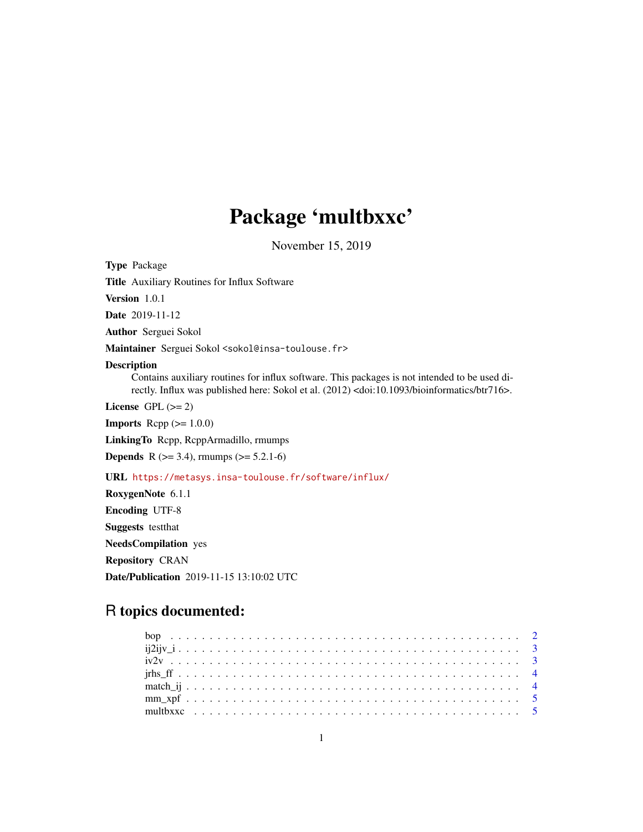## Package 'multbxxc'

November 15, 2019

<span id="page-0-0"></span>Type Package Title Auxiliary Routines for Influx Software Version 1.0.1 Date 2019-11-12 Author Serguei Sokol Maintainer Serguei Sokol <sokol@insa-toulouse.fr> Description Contains auxiliary routines for influx software. This packages is not intended to be used directly. Influx was published here: Sokol et al. (2012) <doi:10.1093/bioinformatics/btr716>. License GPL  $(>= 2)$ **Imports** Rcpp  $(>= 1.0.0)$ LinkingTo Rcpp, RcppArmadillo, rmumps **Depends** R  $(>= 3.4)$ , rmumps  $(>= 5.2.1-6)$ URL <https://metasys.insa-toulouse.fr/software/influx/> RoxygenNote 6.1.1 Encoding UTF-8 Suggests testthat NeedsCompilation yes

Repository CRAN Date/Publication 2019-11-15 13:10:02 UTC

### R topics documented: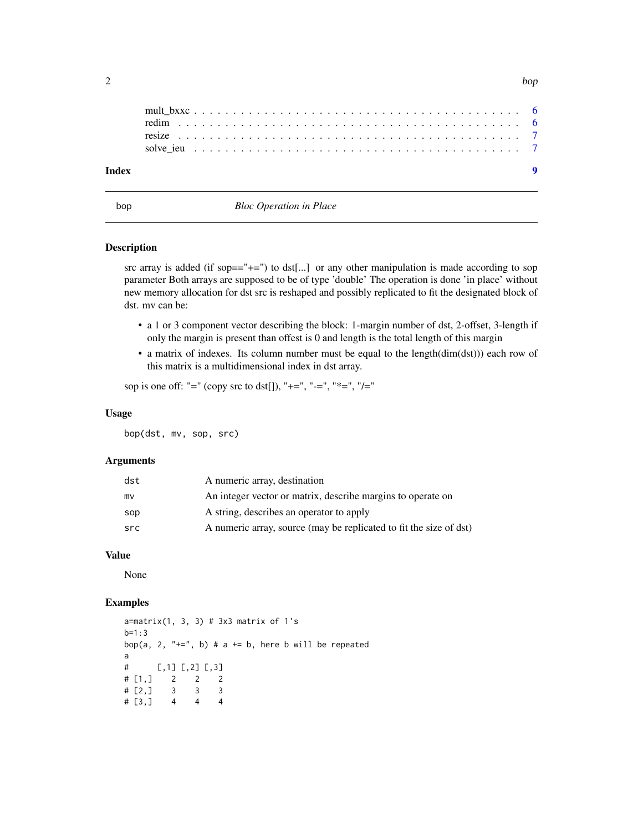<span id="page-1-0"></span>

| Index |  |  |
|-------|--|--|
|       |  |  |
|       |  |  |
|       |  |  |
|       |  |  |
|       |  |  |

bop *Bloc Operation in Place*

#### Description

src array is added (if sop $=$ =" $+$ =") to dst[...] or any other manipulation is made according to sop parameter Both arrays are supposed to be of type 'double' The operation is done 'in place' without new memory allocation for dst src is reshaped and possibly replicated to fit the designated block of dst. mv can be:

- a 1 or 3 component vector describing the block: 1-margin number of dst, 2-offset, 3-length if only the margin is present than offest is 0 and length is the total length of this margin
- a matrix of indexes. Its column number must be equal to the length(dim(dst))) each row of this matrix is a multidimensional index in dst array.

sop is one off: "=" (copy src to dst[]), "+=", "-=", "\*=", "/="

#### Usage

bop(dst, mv, sop, src)

#### Arguments

| dst | A numeric array, destination                                       |
|-----|--------------------------------------------------------------------|
| mv  | An integer vector or matrix, describe margins to operate on        |
| sop | A string, describes an operator to apply                           |
| src | A numeric array, source (may be replicated to fit the size of dst) |

#### Value

None

#### Examples

```
a=matrix(1, 3, 3) # 3x3 matrix of 1's
b=1:3bop(a, 2, "+=", b) # a += b, here b will be repeated
a
# [, 1] [, 2] [, 3]
# [1,] 2 2 2
# [2,] 3 3 3
# [3,] 4 4 4
```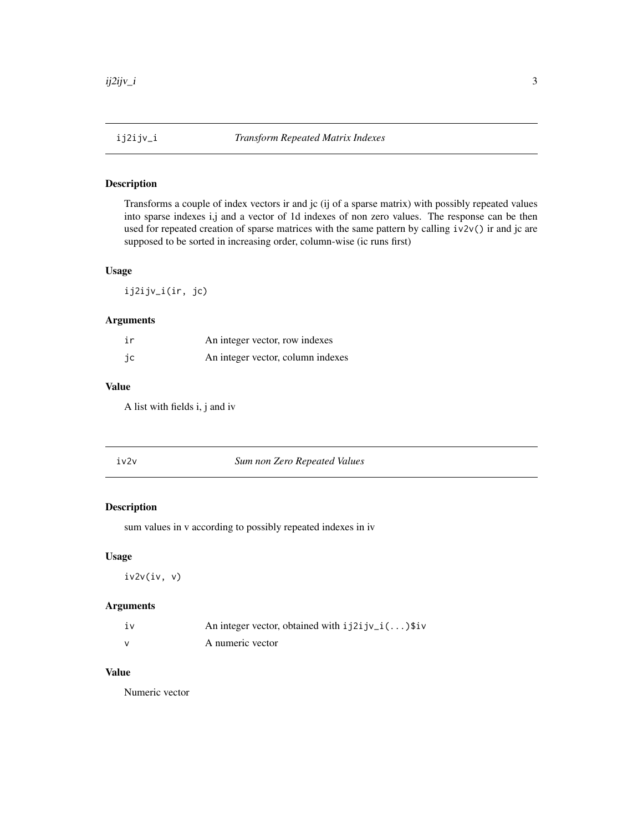<span id="page-2-0"></span>

Transforms a couple of index vectors ir and jc (ij of a sparse matrix) with possibly repeated values into sparse indexes i,j and a vector of 1d indexes of non zero values. The response can be then used for repeated creation of sparse matrices with the same pattern by calling iv2v() ir and jc are supposed to be sorted in increasing order, column-wise (ic runs first)

#### Usage

ij2ijv\_i(ir, jc)

#### Arguments

| ir | An integer vector, row indexes    |
|----|-----------------------------------|
| ic | An integer vector, column indexes |

#### Value

A list with fields i, j and iv

| iv2v | Sum non Zero Repeated Values |  |
|------|------------------------------|--|
|------|------------------------------|--|

#### Description

sum values in v according to possibly repeated indexes in iv

#### Usage

iv2v(iv, v)

#### Arguments

| 1V | An integer vector, obtained with $i j 2 i j v_i ()$ \$iv |
|----|----------------------------------------------------------|
|    | A numeric vector                                         |

#### Value

Numeric vector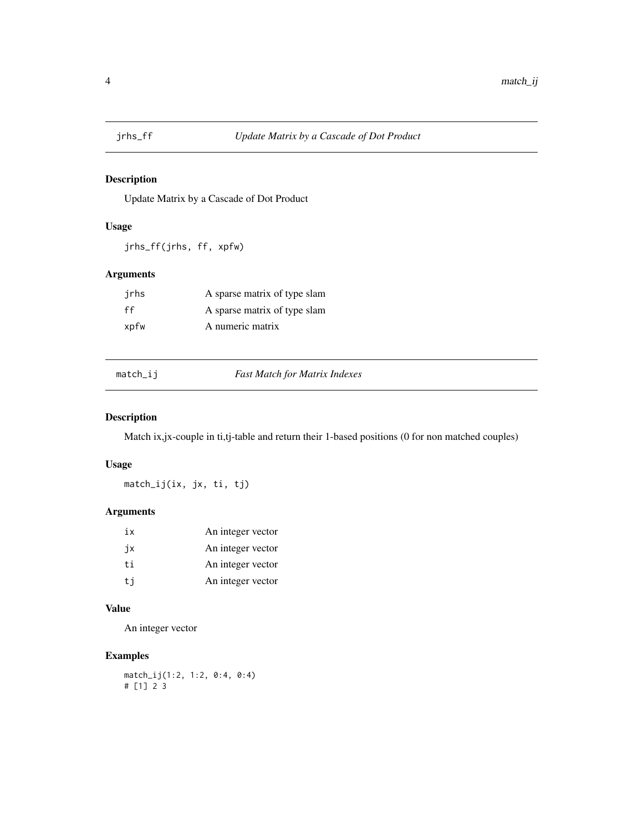<span id="page-3-0"></span>

Update Matrix by a Cascade of Dot Product

#### Usage

jrhs\_ff(jrhs, ff, xpfw)

#### Arguments

| irhs | A sparse matrix of type slam |
|------|------------------------------|
| ff   | A sparse matrix of type slam |
| xpfw | A numeric matrix             |

match\_ij *Fast Match for Matrix Indexes*

#### Description

Match ix,jx-couple in ti,tj-table and return their 1-based positions (0 for non matched couples)

#### Usage

match\_ij(ix, jx, ti, tj)

#### Arguments

| iх  | An integer vector |
|-----|-------------------|
| jх  | An integer vector |
| t.i | An integer vector |
| ti  | An integer vector |

#### Value

An integer vector

#### Examples

match\_ij(1:2, 1:2, 0:4, 0:4) # [1] 2 3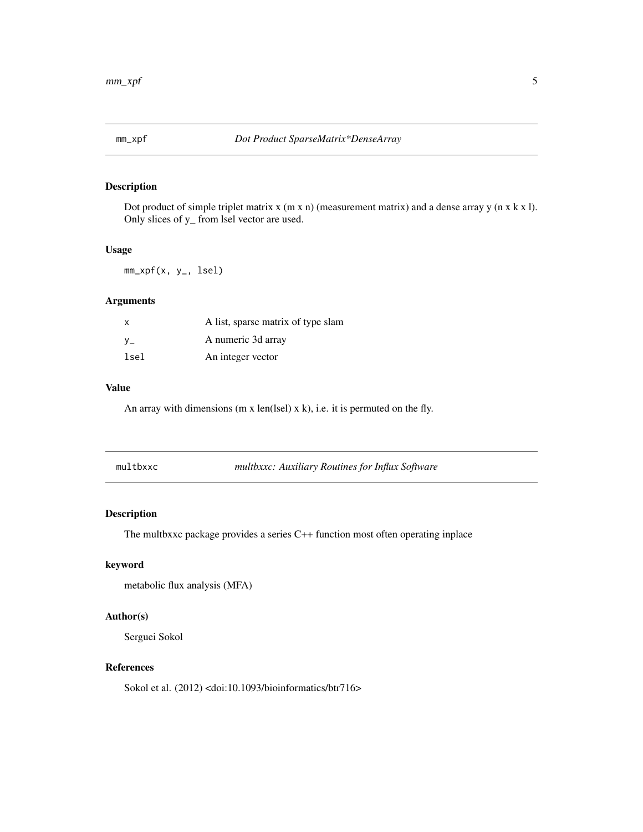<span id="page-4-0"></span>

Dot product of simple triplet matrix x (m x n) (measurement matrix) and a dense array y (n x k x l). Only slices of y\_ from lsel vector are used.

#### Usage

mm\_xpf(x, y\_, lsel)

#### Arguments

| $\mathsf{x}$ | A list, sparse matrix of type slam |
|--------------|------------------------------------|
| $V_{-}$      | A numeric 3d array                 |
| lsel         | An integer vector                  |

#### Value

An array with dimensions (m x len(lsel)  $x$  k), i.e. it is permuted on the fly.

|  | multbxxc |  |
|--|----------|--|
|  |          |  |

multbxxc *multbxxc: Auxiliary Routines for Influx Software*

#### **Description**

The multbxxc package provides a series C++ function most often operating inplace

#### keyword

metabolic flux analysis (MFA)

#### Author(s)

Serguei Sokol

#### References

Sokol et al. (2012) <doi:10.1093/bioinformatics/btr716>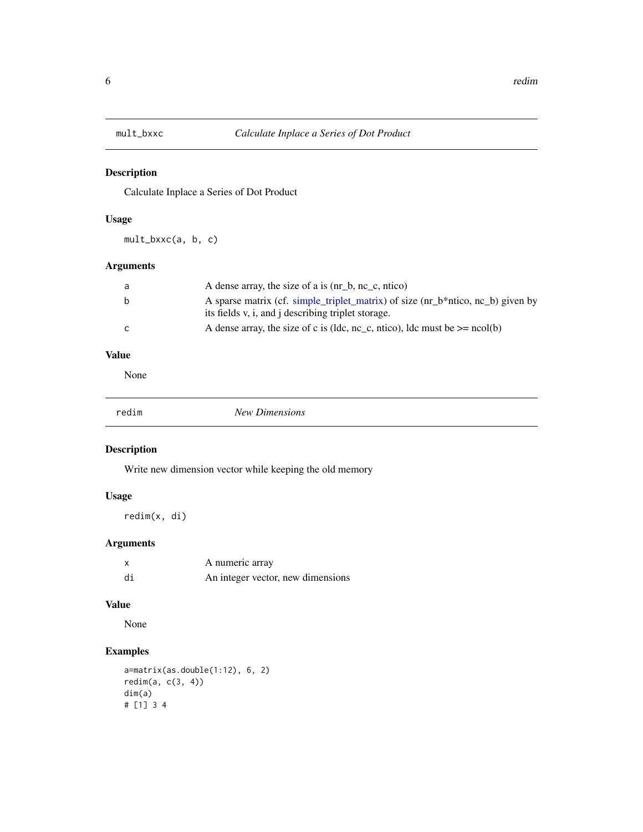<span id="page-5-0"></span>

Calculate Inplace a Series of Dot Product

#### Usage

mult\_bxxc(a, b, c)

#### Arguments

| a | A dense array, the size of a is (nr_b, nc_c, ntico)                             |
|---|---------------------------------------------------------------------------------|
| b | A sparse matrix (cf. simple_triplet_matrix) of size (nr_b*ntico, nc_b) given by |
|   | its fields v, i, and j describing triplet storage.                              |
| C | A dense array, the size of c is (ldc, nc_c, ntico), ldc must be $>=$ ncol(b)    |

#### Value

None

| edim- | $N\rho$ <sub>142</sub><br>nsions<br>м. |
|-------|----------------------------------------|
|-------|----------------------------------------|

#### Description

Write new dimension vector while keeping the old memory

#### Usage

redim(x, di)

#### Arguments

|    | A numeric array                   |
|----|-----------------------------------|
| di | An integer vector, new dimensions |

#### Value

None

#### Examples

```
a=matrix(as.double(1:12), 6, 2)
redim(a, c(3, 4))
dim(a)
# [1] 3 4
```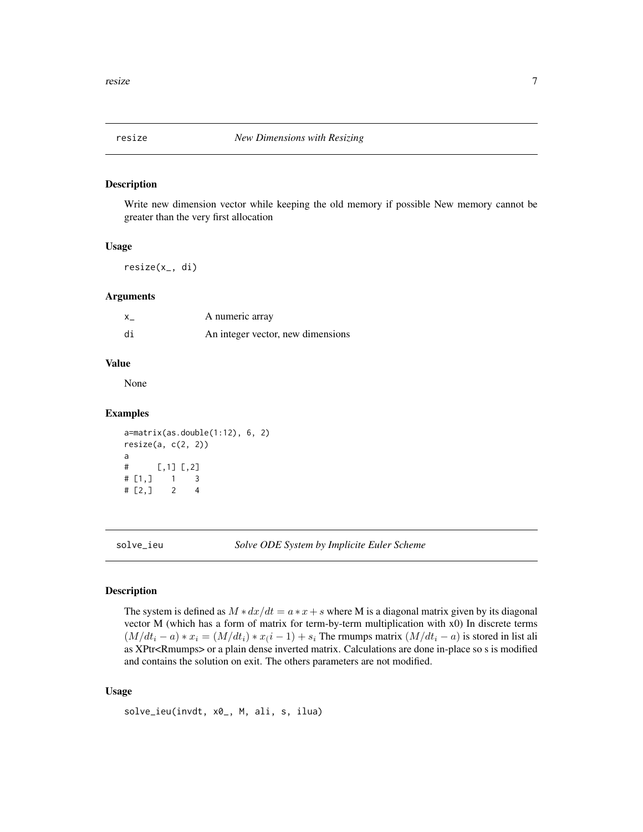<span id="page-6-0"></span>

Write new dimension vector while keeping the old memory if possible New memory cannot be greater than the very first allocation

#### Usage

resize(x\_, di)

#### Arguments

| X. | A numeric array                   |
|----|-----------------------------------|
| di | An integer vector, new dimensions |

#### Value

None

#### Examples

```
a=matrix(as.double(1:12), 6, 2)
resize(a, c(2, 2))
a
# [,1] [,2]
# [1,] 1 3
# [2,] 2 4
```
solve\_ieu *Solve ODE System by Implicite Euler Scheme*

#### Description

The system is defined as  $M * dx/dt = a * x + s$  where M is a diagonal matrix given by its diagonal vector M (which has a form of matrix for term-by-term multiplication with x0) In discrete terms  $(M/dt_i - a) * x_i = (M/dt_i) * x(i - 1) + s_i$  The rmumps matrix  $(M/dt_i - a)$  is stored in list ali as XPtr<Rmumps> or a plain dense inverted matrix. Calculations are done in-place so s is modified and contains the solution on exit. The others parameters are not modified.

#### Usage

```
solve_ieu(invdt, x0_, M, ali, s, ilua)
```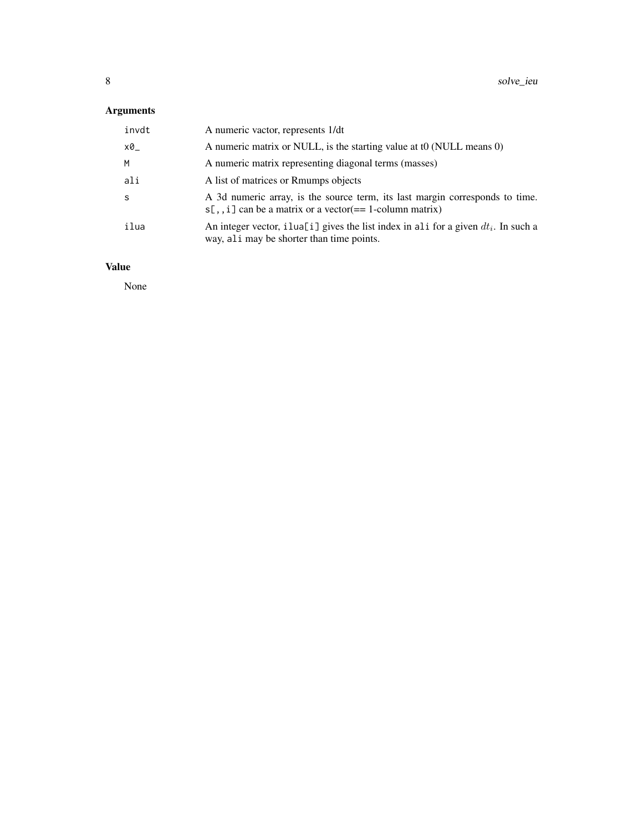#### Arguments

| invdt | A numeric vactor, represents 1/dt                                                                                                          |
|-------|--------------------------------------------------------------------------------------------------------------------------------------------|
| x0    | A numeric matrix or NULL, is the starting value at t0 (NULL means 0)                                                                       |
| M     | A numeric matrix representing diagonal terms (masses)                                                                                      |
| ali   | A list of matrices or Rmumps objects                                                                                                       |
| S     | A 3d numeric array, is the source term, its last margin corresponds to time.<br>$s[,$ , i] can be a matrix or a vector(== 1-column matrix) |
| ilua  | An integer vector, illual [i] gives the list index in all for a given $dt_i$ . In such a<br>way, ali may be shorter than time points.      |

#### Value

None